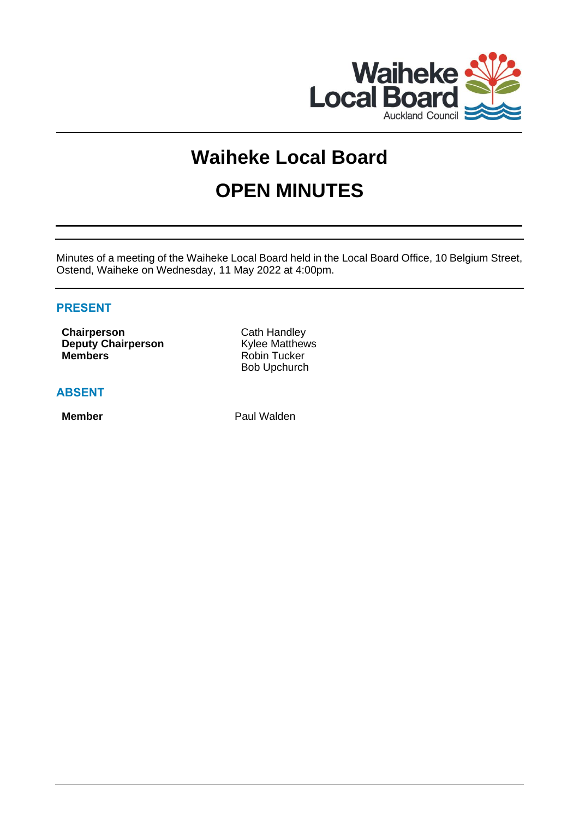

# **Waiheke Local Board OPEN MINUTES**

Minutes of a meeting of the Waiheke Local Board held in the Local Board Office, 10 Belgium Street, Ostend, Waiheke on Wednesday, 11 May 2022 at 4:00pm.

# **PRESENT**

**Chairperson** Cath Handley **Deputy Chairperson** Kylee Matthews **Members** Robin Tucker

**ABSENT**

Bob Upchurch

**Member** Paul Walden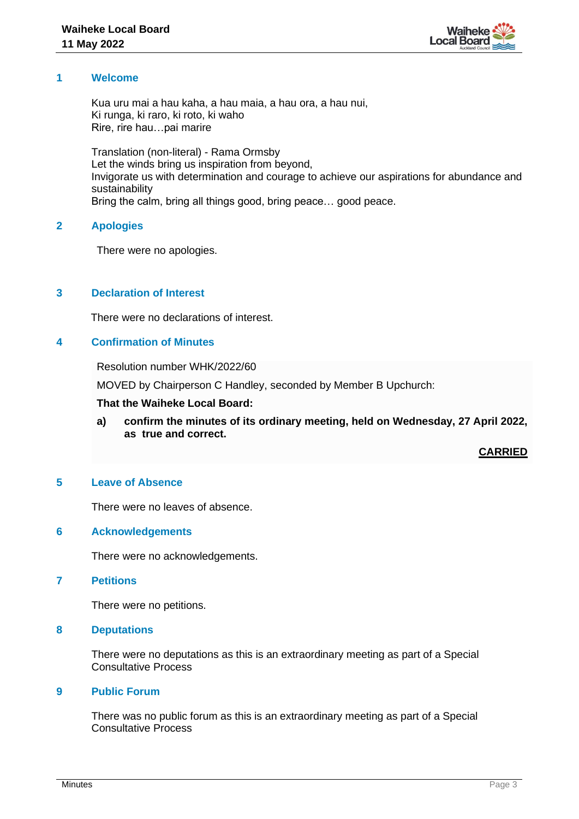

## **1 Welcome**

Kua uru mai a hau kaha, a hau maia, a hau ora, a hau nui, Ki runga, ki raro, ki roto, ki waho Rire, rire hau…pai marire

Translation (non-literal) - Rama Ormsby Let the winds bring us inspiration from beyond, Invigorate us with determination and courage to achieve our aspirations for abundance and sustainability Bring the calm, bring all things good, bring peace… good peace.

## **2 Apologies**

There were no apologies.

# **3 Declaration of Interest**

There were no declarations of interest.

# **4 Confirmation of Minutes**

Resolution number WHK/2022/60

MOVED by Chairperson C Handley, seconded by Member B Upchurch:

#### **That the Waiheke Local Board:**

**a) confirm the minutes of its ordinary meeting, held on Wednesday, 27 April 2022, as true and correct.**

**CARRIED**

## **5 Leave of Absence**

There were no leaves of absence.

#### **6 Acknowledgements**

There were no acknowledgements.

# **7 Petitions**

There were no petitions.

#### **8 Deputations**

There were no deputations as this is an extraordinary meeting as part of a Special Consultative Process

#### **9 Public Forum**

There was no public forum as this is an extraordinary meeting as part of a Special Consultative Process